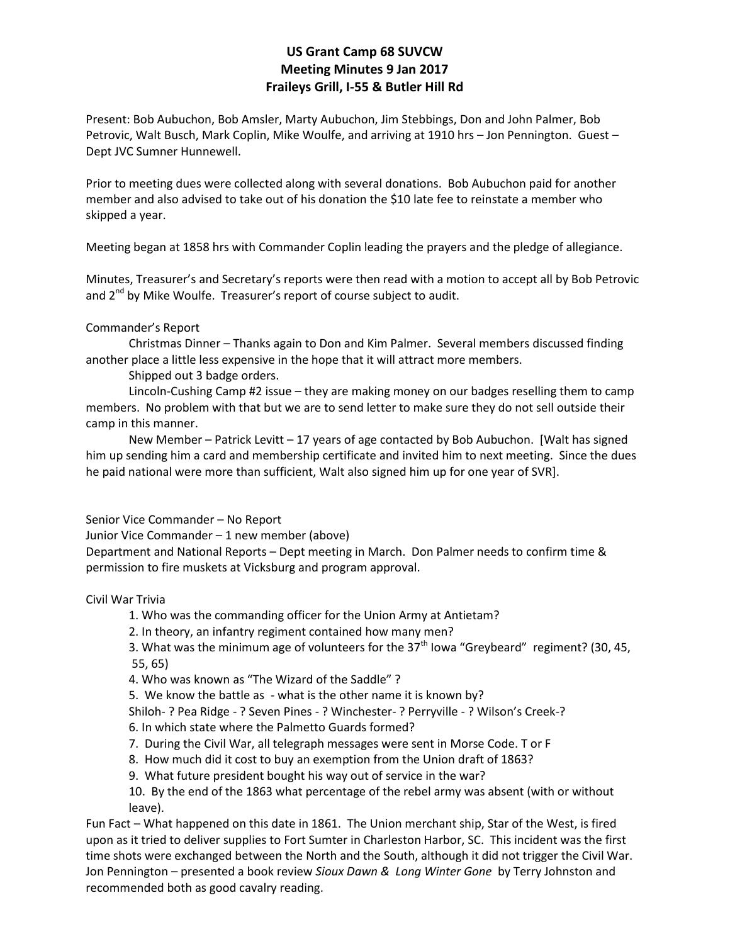## **US Grant Camp 68 SUVCW Meeting Minutes 9 Jan 2017 Fraileys Grill, I-55 & Butler Hill Rd**

Present: Bob Aubuchon, Bob Amsler, Marty Aubuchon, Jim Stebbings, Don and John Palmer, Bob Petrovic, Walt Busch, Mark Coplin, Mike Woulfe, and arriving at 1910 hrs – Jon Pennington. Guest – Dept JVC Sumner Hunnewell.

Prior to meeting dues were collected along with several donations. Bob Aubuchon paid for another member and also advised to take out of his donation the \$10 late fee to reinstate a member who skipped a year.

Meeting began at 1858 hrs with Commander Coplin leading the prayers and the pledge of allegiance.

Minutes, Treasurer's and Secretary's reports were then read with a motion to accept all by Bob Petrovic and  $2^{nd}$  by Mike Woulfe. Treasurer's report of course subject to audit.

#### Commander's Report

Christmas Dinner – Thanks again to Don and Kim Palmer. Several members discussed finding another place a little less expensive in the hope that it will attract more members.

Shipped out 3 badge orders.

Lincoln-Cushing Camp #2 issue – they are making money on our badges reselling them to camp members. No problem with that but we are to send letter to make sure they do not sell outside their camp in this manner.

New Member – Patrick Levitt – 17 years of age contacted by Bob Aubuchon. [Walt has signed him up sending him a card and membership certificate and invited him to next meeting. Since the dues he paid national were more than sufficient, Walt also signed him up for one year of SVR].

#### Senior Vice Commander – No Report

Junior Vice Commander – 1 new member (above)

Department and National Reports – Dept meeting in March. Don Palmer needs to confirm time & permission to fire muskets at Vicksburg and program approval.

#### Civil War Trivia

- 1. Who was the commanding officer for the Union Army at Antietam?
- 2. In theory, an infantry regiment contained how many men?

3. What was the minimum age of volunteers for the  $37<sup>th</sup>$  Iowa "Greybeard" regiment? (30, 45, 55, 65)

- 4. Who was known as "The Wizard of the Saddle" ?
- 5. We know the battle as what is the other name it is known by?

Shiloh- ? Pea Ridge - ? Seven Pines - ? Winchester- ? Perryville - ? Wilson's Creek-?

- 6. In which state where the Palmetto Guards formed?
- 7. During the Civil War, all telegraph messages were sent in Morse Code. T or F
- 8. How much did it cost to buy an exemption from the Union draft of 1863?
- 9. What future president bought his way out of service in the war?

10. By the end of the 1863 what percentage of the rebel army was absent (with or without leave).

Fun Fact – What happened on this date in 1861. The Union merchant ship, Star of the West, is fired upon as it tried to deliver supplies to Fort Sumter in Charleston Harbor, SC. This incident was the first time shots were exchanged between the North and the South, although it did not trigger the Civil War. Jon Pennington – presented a book review *Sioux Dawn & Long Winter Gone* by Terry Johnston and recommended both as good cavalry reading.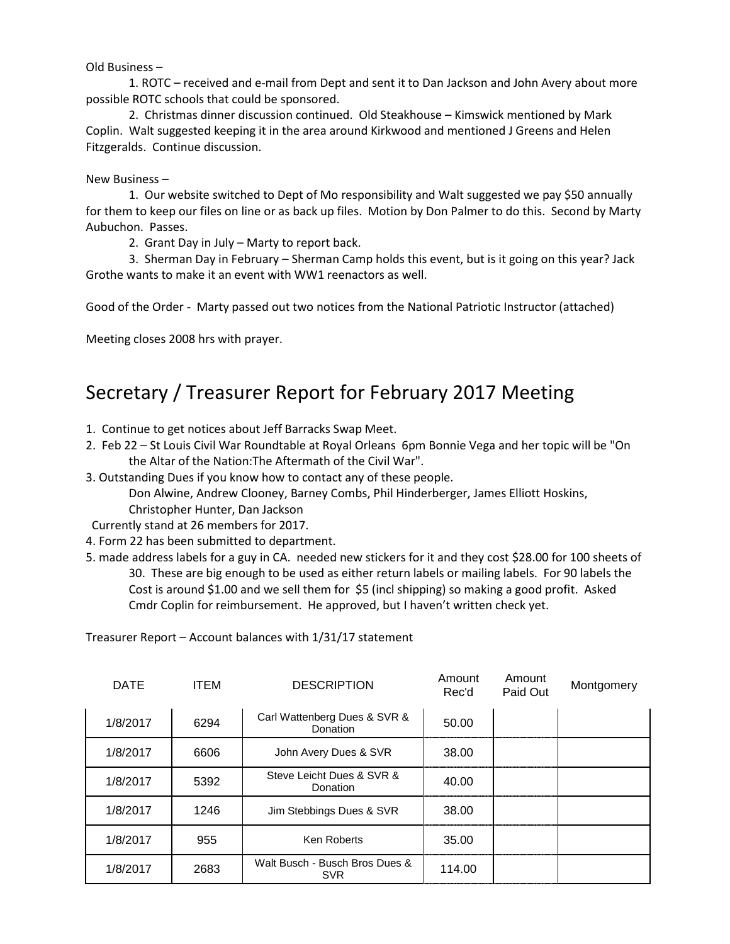Old Business –

1. ROTC – received and e-mail from Dept and sent it to Dan Jackson and John Avery about more possible ROTC schools that could be sponsored.

2. Christmas dinner discussion continued. Old Steakhouse – Kimswick mentioned by Mark Coplin. Walt suggested keeping it in the area around Kirkwood and mentioned J Greens and Helen Fitzgeralds. Continue discussion.

#### New Business –

1. Our website switched to Dept of Mo responsibility and Walt suggested we pay \$50 annually for them to keep our files on line or as back up files. Motion by Don Palmer to do this. Second by Marty Aubuchon. Passes.

2. Grant Day in July – Marty to report back.

3. Sherman Day in February – Sherman Camp holds this event, but is it going on this year? Jack Grothe wants to make it an event with WW1 reenactors as well.

Good of the Order - Marty passed out two notices from the National Patriotic Instructor (attached)

Meeting closes 2008 hrs with prayer.

# Secretary / Treasurer Report for February 2017 Meeting

- 1. Continue to get notices about Jeff Barracks Swap Meet.
- 2. Feb 22 St Louis Civil War Roundtable at Royal Orleans 6pm Bonnie Vega and her topic will be "On the Altar of the Nation:The Aftermath of the Civil War".
- 3. Outstanding Dues if you know how to contact any of these people. Don Alwine, Andrew Clooney, Barney Combs, Phil Hinderberger, James Elliott Hoskins, Christopher Hunter, Dan Jackson

Currently stand at 26 members for 2017.

- 4. Form 22 has been submitted to department.
- 5. made address labels for a guy in CA. needed new stickers for it and they cost \$28.00 for 100 sheets of 30. These are big enough to be used as either return labels or mailing labels. For 90 labels the Cost is around \$1.00 and we sell them for \$5 (incl shipping) so making a good profit. Asked Cmdr Coplin for reimbursement. He approved, but I haven't written check yet.

| <b>DATE</b> | <b>ITEM</b> | <b>DESCRIPTION</b>                           | Amount<br>Rec'd | Amount<br>Paid Out | Montgomery |
|-------------|-------------|----------------------------------------------|-----------------|--------------------|------------|
| 1/8/2017    | 6294        | Carl Wattenberg Dues & SVR &<br>Donation     | 50.00           |                    |            |
| 1/8/2017    | 6606        | John Avery Dues & SVR                        | 38.00           |                    |            |
| 1/8/2017    | 5392        | Steve Leicht Dues & SVR &<br>Donation        | 40.00           |                    |            |
| 1/8/2017    | 1246        | Jim Stebbings Dues & SVR                     | 38.00           |                    |            |
| 1/8/2017    | 955         | <b>Ken Roberts</b>                           | 35.00           |                    |            |
| 1/8/2017    | 2683        | Walt Busch - Busch Bros Dues &<br><b>SVR</b> | 114.00          |                    |            |

Treasurer Report – Account balances with 1/31/17 statement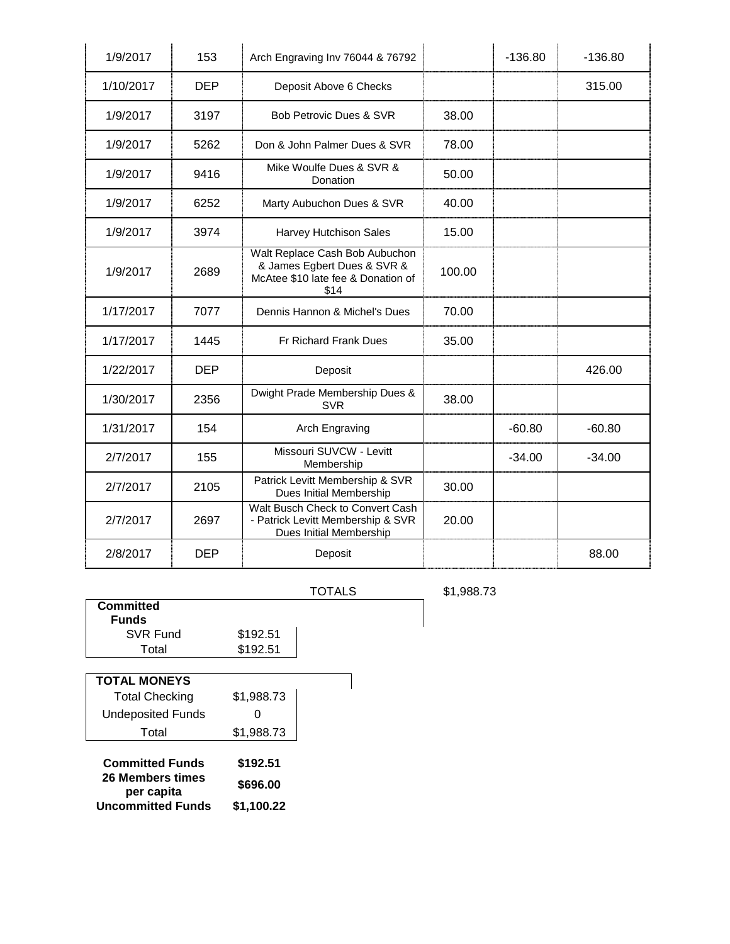| 1/9/2017  | 153        | Arch Engraving Inv 76044 & 76792                                                                            |        | $-136.80$ | $-136.80$ |
|-----------|------------|-------------------------------------------------------------------------------------------------------------|--------|-----------|-----------|
| 1/10/2017 | <b>DEP</b> | Deposit Above 6 Checks                                                                                      |        |           | 315.00    |
| 1/9/2017  | 3197       | <b>Bob Petrovic Dues &amp; SVR</b>                                                                          | 38.00  |           |           |
| 1/9/2017  | 5262       | Don & John Palmer Dues & SVR                                                                                | 78.00  |           |           |
| 1/9/2017  | 9416       | Mike Woulfe Dues & SVR &<br>Donation                                                                        | 50.00  |           |           |
| 1/9/2017  | 6252       | Marty Aubuchon Dues & SVR                                                                                   | 40.00  |           |           |
| 1/9/2017  | 3974       | Harvey Hutchison Sales                                                                                      | 15.00  |           |           |
| 1/9/2017  | 2689       | Walt Replace Cash Bob Aubuchon<br>& James Egbert Dues & SVR &<br>McAtee \$10 late fee & Donation of<br>\$14 | 100.00 |           |           |
| 1/17/2017 | 7077       | Dennis Hannon & Michel's Dues                                                                               | 70.00  |           |           |
| 1/17/2017 | 1445       | Fr Richard Frank Dues                                                                                       | 35.00  |           |           |
| 1/22/2017 | DEP        | Deposit                                                                                                     |        |           | 426.00    |
| 1/30/2017 | 2356       | Dwight Prade Membership Dues &<br><b>SVR</b>                                                                | 38.00  |           |           |
| 1/31/2017 | 154        | Arch Engraving                                                                                              |        | $-60.80$  | $-60.80$  |
| 2/7/2017  | 155        | Missouri SUVCW - Levitt<br>Membership                                                                       |        | $-34.00$  | $-34.00$  |
| 2/7/2017  | 2105       | Patrick Levitt Membership & SVR<br>Dues Initial Membership                                                  | 30.00  |           |           |
| 2/7/2017  | 2697       | Walt Busch Check to Convert Cash<br>- Patrick Levitt Membership & SVR<br>Dues Initial Membership            | 20.00  |           |           |
| 2/8/2017  | <b>DEP</b> | Deposit                                                                                                     |        |           | 88.00     |

| TOTALS |
|--------|
|--------|

TOTALS \$1,988.73

| <b>Committed</b>               |            |  |
|--------------------------------|------------|--|
| Funds                          |            |  |
| SVR Fund                       | \$192.51   |  |
| Total                          | \$192.51   |  |
|                                |            |  |
| <b>TOTAL MONEYS</b>            |            |  |
| <b>Total Checking</b>          | \$1,988.73 |  |
| Undeposited Funds              |            |  |
| Total                          | \$1,988.73 |  |
|                                |            |  |
| <b>Committed Funds</b>         | \$192.51   |  |
| 26 Members times<br>per capita | \$696.00   |  |
| <b>Uncommitted Funds</b>       | \$1.100.22 |  |